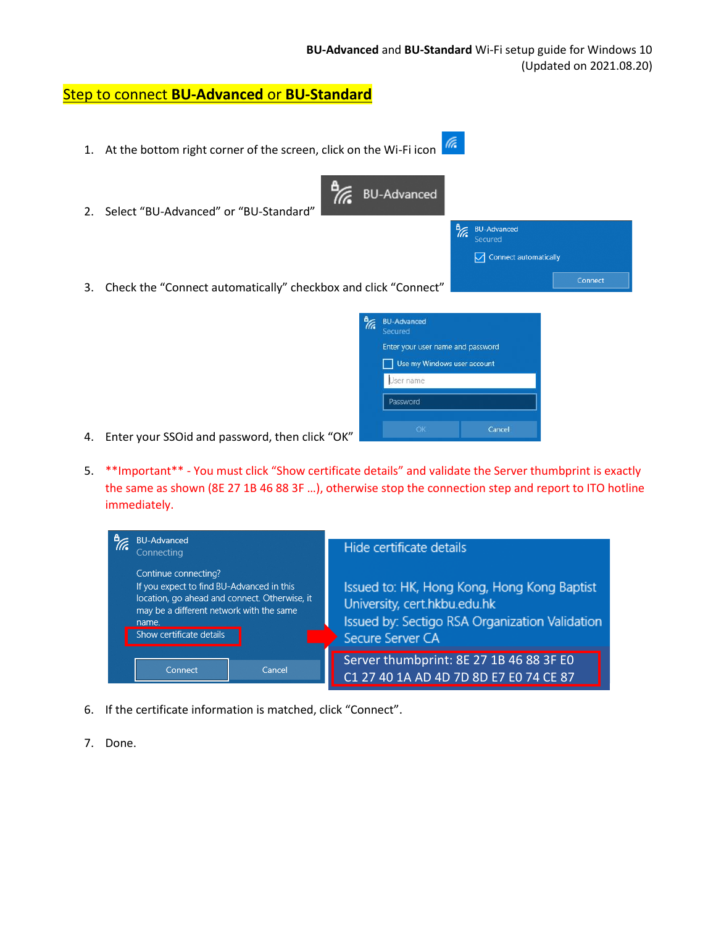Enter your user name and password Use my Windows user account

Cancel

User name Password

## Step to connect **BU-Advanced** or **BU-Standard**

- (ta 1. At the bottom right corner of the screen, click on the Wi-Fi icon 77. BU-Advanced 2. Select "BU-Advanced" or "BU-Standard" **BU-Advanced** ₩ Connect automatically 3. Check the "Connect automatically" checkbox and click "Connect" **A**<br> **BU-Advanced** Secured
	- 4. Enter your SSOid and password, then click "OK"
	- 5. \*\*Important\*\* You must click "Show certificate details" and validate the Server thumbprint is exactly the same as shown (8E 27 1B 46 88 3F …), otherwise stop the connection step and report to ITO hotline immediately.



- 6. If the certificate information is matched, click "Connect".
- 7. Done.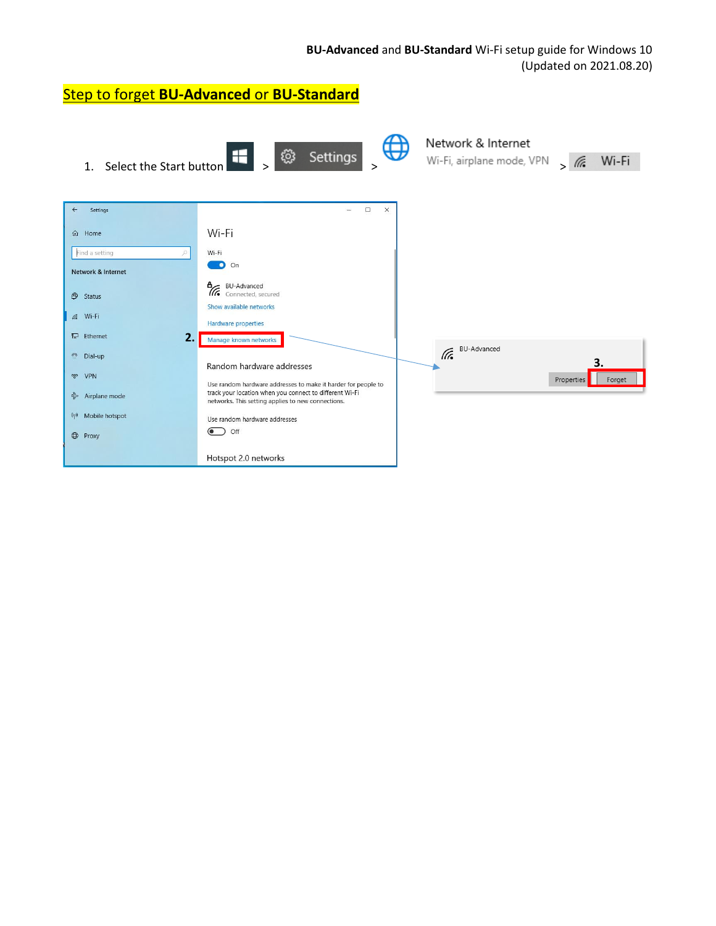| <b>Step to forget BU-Advanced or BU-Standard</b> |                                                                                                               |                                                 |                      |
|--------------------------------------------------|---------------------------------------------------------------------------------------------------------------|-------------------------------------------------|----------------------|
| Select the Start button<br>1 <sub>1</sub>        | తి<br>H  <br>Settings                                                                                         | Network & Internet<br>Wi-Fi, airplane mode, VPN | Wi-Fi<br>$\sqrt{6}$  |
| $\leftarrow$<br>Settings                         | $\Box$<br>$\times$<br>$\qquad \qquad -$                                                                       |                                                 |                      |
| Home<br>⋒                                        | Wi-Fi                                                                                                         |                                                 |                      |
| Find a setting<br>p.                             | Wi-Fi                                                                                                         |                                                 |                      |
| <b>Network &amp; Internet</b>                    | $\bigcirc$ On                                                                                                 |                                                 |                      |
| <sup>5</sup> Status                              | <b>A</b> <sup>BU-Advanced</sup><br><b>A</b> Connected, se<br>Connected, secured                               |                                                 |                      |
|                                                  | Show available networks                                                                                       |                                                 |                      |
| $6.$ Wi-Fi                                       | <b>Hardware properties</b>                                                                                    |                                                 |                      |
| 是 Ethernet<br>2.                                 | Manage known networks                                                                                         | <b>BU-Advanced</b>                              |                      |
| ு<br>Dial-up                                     | Random hardware addresses                                                                                     | lt.                                             | 3.                   |
| ⊗<br><b>VPN</b>                                  | Use random hardware addresses to make it harder for people to                                                 |                                                 | Forget<br>Properties |
| Airplane mode                                    | track your location when you connect to different Wi-Fi<br>networks. This setting applies to new connections. |                                                 |                      |
| Mobile hotspot<br>$(\varphi)$                    | Use random hardware addresses                                                                                 |                                                 |                      |
| <b>D</b> Proxy                                   | Off                                                                                                           |                                                 |                      |
|                                                  | Hotspot 2.0 networks                                                                                          |                                                 |                      |